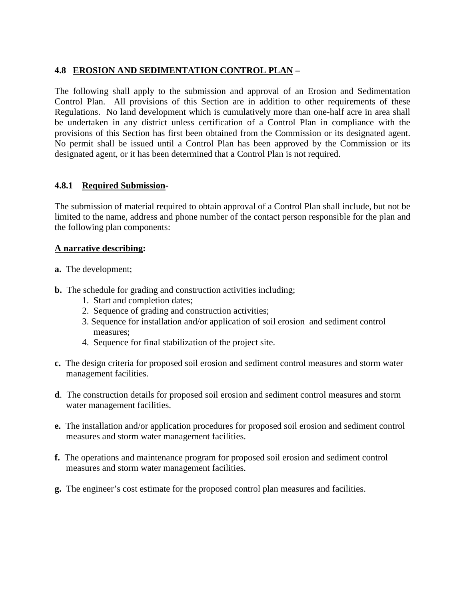# **4.8 EROSION AND SEDIMENTATION CONTROL PLAN –**

The following shall apply to the submission and approval of an Erosion and Sedimentation Control Plan. All provisions of this Section are in addition to other requirements of these Regulations. No land development which is cumulatively more than one-half acre in area shall be undertaken in any district unless certification of a Control Plan in compliance with the provisions of this Section has first been obtained from the Commission or its designated agent. No permit shall be issued until a Control Plan has been approved by the Commission or its designated agent, or it has been determined that a Control Plan is not required.

### **4.8.1 Required Submission-**

The submission of material required to obtain approval of a Control Plan shall include, but not be limited to the name, address and phone number of the contact person responsible for the plan and the following plan components:

#### **A narrative describing:**

- **a.** The development;
- **b.** The schedule for grading and construction activities including;
	- 1. Start and completion dates;
	- 2. Sequence of grading and construction activities;
	- 3. Sequence for installation and/or application of soil erosion and sediment control measures;
	- 4. Sequence for final stabilization of the project site.
- **c.** The design criteria for proposed soil erosion and sediment control measures and storm water management facilities.
- **d**. The construction details for proposed soil erosion and sediment control measures and storm water management facilities.
- **e.** The installation and/or application procedures for proposed soil erosion and sediment control measures and storm water management facilities.
- **f.** The operations and maintenance program for proposed soil erosion and sediment control measures and storm water management facilities.
- **g.** The engineer's cost estimate for the proposed control plan measures and facilities.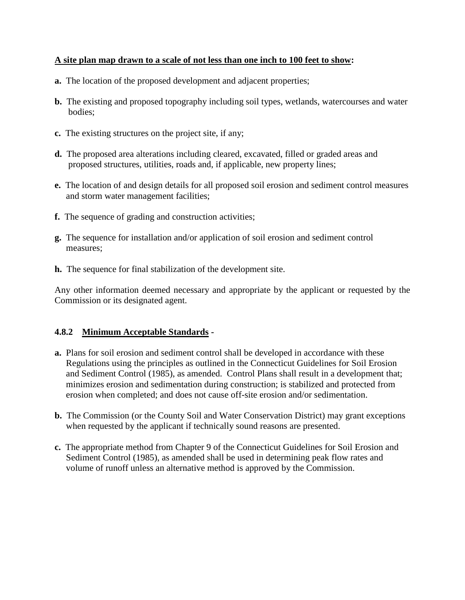### **A site plan map drawn to a scale of not less than one inch to 100 feet to show:**

- **a.** The location of the proposed development and adjacent properties;
- **b.** The existing and proposed topography including soil types, wetlands, watercourses and water bodies;
- **c.** The existing structures on the project site, if any;
- **d.** The proposed area alterations including cleared, excavated, filled or graded areas and proposed structures, utilities, roads and, if applicable, new property lines;
- **e.** The location of and design details for all proposed soil erosion and sediment control measures and storm water management facilities;
- **f.** The sequence of grading and construction activities;
- **g.** The sequence for installation and/or application of soil erosion and sediment control measures;
- **h.** The sequence for final stabilization of the development site.

Any other information deemed necessary and appropriate by the applicant or requested by the Commission or its designated agent.

# **4.8.2 Minimum Acceptable Standards -**

- **a.** Plans for soil erosion and sediment control shall be developed in accordance with these Regulations using the principles as outlined in the Connecticut Guidelines for Soil Erosion and Sediment Control (1985), as amended. Control Plans shall result in a development that; minimizes erosion and sedimentation during construction; is stabilized and protected from erosion when completed; and does not cause off-site erosion and/or sedimentation.
- **b.** The Commission (or the County Soil and Water Conservation District) may grant exceptions when requested by the applicant if technically sound reasons are presented.
- **c.** The appropriate method from Chapter 9 of the Connecticut Guidelines for Soil Erosion and Sediment Control (1985), as amended shall be used in determining peak flow rates and volume of runoff unless an alternative method is approved by the Commission.